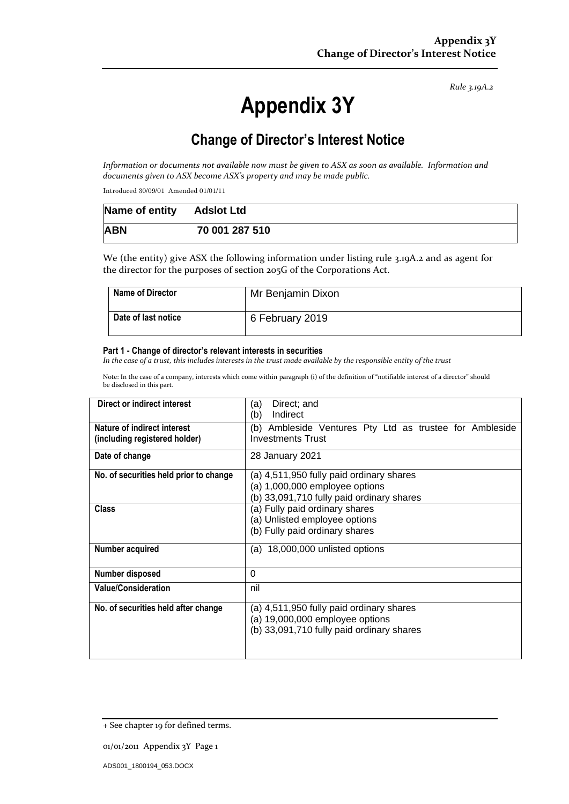*Rule 3.19A.2*

# **Appendix 3Y**

# **Change of Director's Interest Notice**

*Information or documents not available now must be given to ASX as soon as available. Information and documents given to ASX become ASX's property and may be made public.*

Introduced 30/09/01 Amended 01/01/11

| Name of entity Adslot Ltd |                |
|---------------------------|----------------|
| <b>ABN</b>                | 70 001 287 510 |

We (the entity) give ASX the following information under listing rule 3.19A.2 and as agent for the director for the purposes of section 205G of the Corporations Act.

| <b>Name of Director</b> | Mr Benjamin Dixon |
|-------------------------|-------------------|
| Date of last notice     | 6 February 2019   |

#### **Part 1 - Change of director's relevant interests in securities**

*In the case of a trust, this includes interests in the trust made available by the responsible entity of the trust*

Note: In the case of a company, interests which come within paragraph (i) of the definition of "notifiable interest of a director" should be disclosed in this part.

| Direct or indirect interest                                  | Direct; and<br>(a)<br>Indirect<br>(b)                                                                                    |  |
|--------------------------------------------------------------|--------------------------------------------------------------------------------------------------------------------------|--|
| Nature of indirect interest<br>(including registered holder) | (b) Ambleside Ventures Pty Ltd as trustee for Ambleside<br><b>Investments Trust</b>                                      |  |
| Date of change                                               | 28 January 2021                                                                                                          |  |
| No. of securities held prior to change                       | (a) 4,511,950 fully paid ordinary shares<br>(a) 1,000,000 employee options<br>(b) 33,091,710 fully paid ordinary shares  |  |
| <b>Class</b>                                                 | (a) Fully paid ordinary shares<br>(a) Unlisted employee options<br>(b) Fully paid ordinary shares                        |  |
| Number acquired                                              | (a) 18,000,000 unlisted options                                                                                          |  |
| Number disposed                                              | $\Omega$                                                                                                                 |  |
| <b>Value/Consideration</b>                                   | nil                                                                                                                      |  |
| No. of securities held after change                          | (a) 4,511,950 fully paid ordinary shares<br>(a) 19,000,000 employee options<br>(b) 33,091,710 fully paid ordinary shares |  |

<sup>+</sup> See chapter 19 for defined terms.